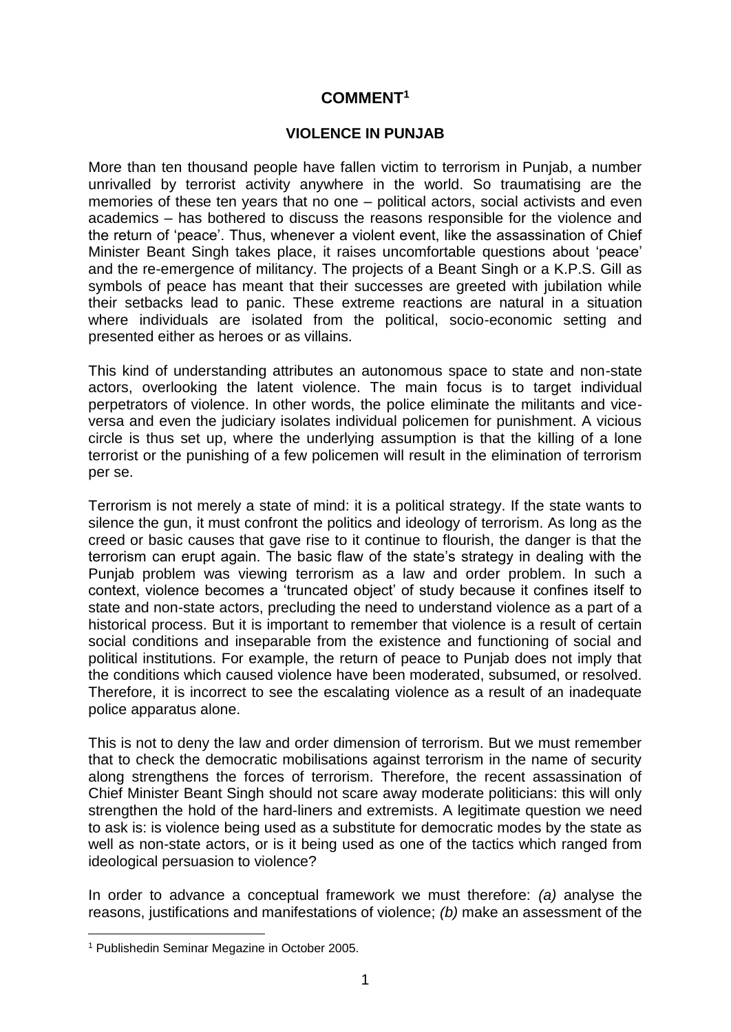## **COMMENT<sup>1</sup>**

## **VIOLENCE IN PUNJAB**

More than ten thousand people have fallen victim to terrorism in Punjab, a number unrivalled by terrorist activity anywhere in the world. So traumatising are the memories of these ten years that no one – political actors, social activists and even academics – has bothered to discuss the reasons responsible for the violence and the return of 'peace'. Thus, whenever a violent event, like the assassination of Chief Minister Beant Singh takes place, it raises uncomfortable questions about 'peace' and the re-emergence of militancy. The projects of a Beant Singh or a K.P.S. Gill as symbols of peace has meant that their successes are greeted with jubilation while their setbacks lead to panic. These extreme reactions are natural in a situation where individuals are isolated from the political, socio-economic setting and presented either as heroes or as villains.

This kind of understanding attributes an autonomous space to state and non-state actors, overlooking the latent violence. The main focus is to target individual perpetrators of violence. In other words, the police eliminate the militants and viceversa and even the judiciary isolates individual policemen for punishment. A vicious circle is thus set up, where the underlying assumption is that the killing of a lone terrorist or the punishing of a few policemen will result in the elimination of terrorism per se.

Terrorism is not merely a state of mind: it is a political strategy. If the state wants to silence the gun, it must confront the politics and ideology of terrorism. As long as the creed or basic causes that gave rise to it continue to flourish, the danger is that the terrorism can erupt again. The basic flaw of the state's strategy in dealing with the Punjab problem was viewing terrorism as a law and order problem. In such a context, violence becomes a 'truncated object' of study because it confines itself to state and non-state actors, precluding the need to understand violence as a part of a historical process. But it is important to remember that violence is a result of certain social conditions and inseparable from the existence and functioning of social and political institutions. For example, the return of peace to Punjab does not imply that the conditions which caused violence have been moderated, subsumed, or resolved. Therefore, it is incorrect to see the escalating violence as a result of an inadequate police apparatus alone.

This is not to deny the law and order dimension of terrorism. But we must remember that to check the democratic mobilisations against terrorism in the name of security along strengthens the forces of terrorism. Therefore, the recent assassination of Chief Minister Beant Singh should not scare away moderate politicians: this will only strengthen the hold of the hard-liners and extremists. A legitimate question we need to ask is: is violence being used as a substitute for democratic modes by the state as well as non-state actors, or is it being used as one of the tactics which ranged from ideological persuasion to violence?

In order to advance a conceptual framework we must therefore: *(a)* analyse the reasons, justifications and manifestations of violence; *(b)* make an assessment of the

<sup>1</sup> <sup>1</sup> Publishedin Seminar Megazine in October 2005.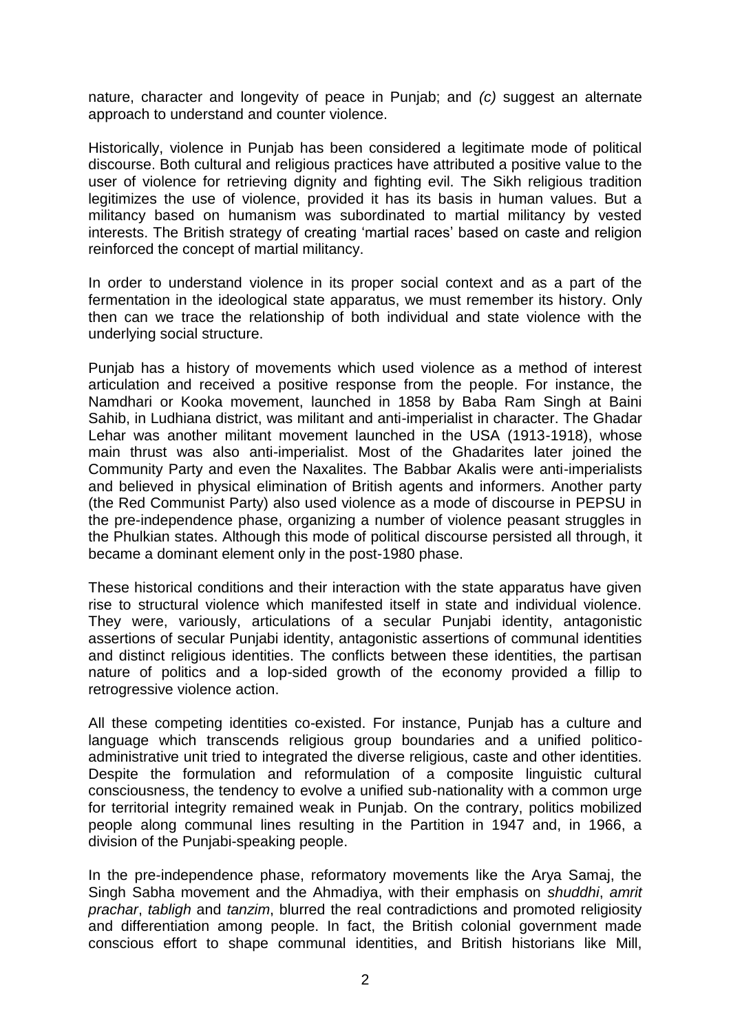nature, character and longevity of peace in Punjab; and *(c)* suggest an alternate approach to understand and counter violence.

Historically, violence in Punjab has been considered a legitimate mode of political discourse. Both cultural and religious practices have attributed a positive value to the user of violence for retrieving dignity and fighting evil. The Sikh religious tradition legitimizes the use of violence, provided it has its basis in human values. But a militancy based on humanism was subordinated to martial militancy by vested interests. The British strategy of creating 'martial races' based on caste and religion reinforced the concept of martial militancy.

In order to understand violence in its proper social context and as a part of the fermentation in the ideological state apparatus, we must remember its history. Only then can we trace the relationship of both individual and state violence with the underlying social structure.

Punjab has a history of movements which used violence as a method of interest articulation and received a positive response from the people. For instance, the Namdhari or Kooka movement, launched in 1858 by Baba Ram Singh at Baini Sahib, in Ludhiana district, was militant and anti-imperialist in character. The Ghadar Lehar was another militant movement launched in the USA (1913-1918), whose main thrust was also anti-imperialist. Most of the Ghadarites later joined the Community Party and even the Naxalites. The Babbar Akalis were anti-imperialists and believed in physical elimination of British agents and informers. Another party (the Red Communist Party) also used violence as a mode of discourse in PEPSU in the pre-independence phase, organizing a number of violence peasant struggles in the Phulkian states. Although this mode of political discourse persisted all through, it became a dominant element only in the post-1980 phase.

These historical conditions and their interaction with the state apparatus have given rise to structural violence which manifested itself in state and individual violence. They were, variously, articulations of a secular Punjabi identity, antagonistic assertions of secular Punjabi identity, antagonistic assertions of communal identities and distinct religious identities. The conflicts between these identities, the partisan nature of politics and a lop-sided growth of the economy provided a fillip to retrogressive violence action.

All these competing identities co-existed. For instance, Punjab has a culture and language which transcends religious group boundaries and a unified politicoadministrative unit tried to integrated the diverse religious, caste and other identities. Despite the formulation and reformulation of a composite linguistic cultural consciousness, the tendency to evolve a unified sub-nationality with a common urge for territorial integrity remained weak in Punjab. On the contrary, politics mobilized people along communal lines resulting in the Partition in 1947 and, in 1966, a division of the Punjabi-speaking people.

In the pre-independence phase, reformatory movements like the Arya Samaj, the Singh Sabha movement and the Ahmadiya, with their emphasis on *shuddhi*, *amrit prachar*, *tabligh* and *tanzim*, blurred the real contradictions and promoted religiosity and differentiation among people. In fact, the British colonial government made conscious effort to shape communal identities, and British historians like Mill,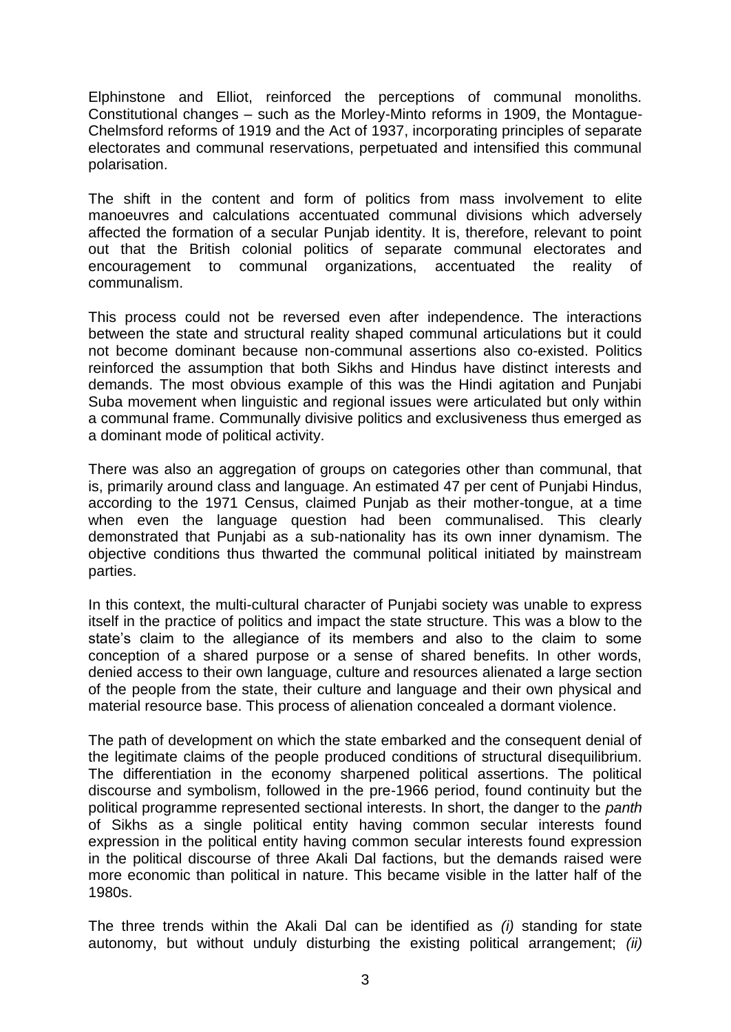Elphinstone and Elliot, reinforced the perceptions of communal monoliths. Constitutional changes – such as the Morley-Minto reforms in 1909, the Montague-Chelmsford reforms of 1919 and the Act of 1937, incorporating principles of separate electorates and communal reservations, perpetuated and intensified this communal polarisation.

The shift in the content and form of politics from mass involvement to elite manoeuvres and calculations accentuated communal divisions which adversely affected the formation of a secular Punjab identity. It is, therefore, relevant to point out that the British colonial politics of separate communal electorates and encouragement to communal organizations, accentuated the reality of communalism.

This process could not be reversed even after independence. The interactions between the state and structural reality shaped communal articulations but it could not become dominant because non-communal assertions also co-existed. Politics reinforced the assumption that both Sikhs and Hindus have distinct interests and demands. The most obvious example of this was the Hindi agitation and Punjabi Suba movement when linguistic and regional issues were articulated but only within a communal frame. Communally divisive politics and exclusiveness thus emerged as a dominant mode of political activity.

There was also an aggregation of groups on categories other than communal, that is, primarily around class and language. An estimated 47 per cent of Punjabi Hindus, according to the 1971 Census, claimed Punjab as their mother-tongue, at a time when even the language question had been communalised. This clearly demonstrated that Punjabi as a sub-nationality has its own inner dynamism. The objective conditions thus thwarted the communal political initiated by mainstream parties.

In this context, the multi-cultural character of Punjabi society was unable to express itself in the practice of politics and impact the state structure. This was a blow to the state's claim to the allegiance of its members and also to the claim to some conception of a shared purpose or a sense of shared benefits. In other words, denied access to their own language, culture and resources alienated a large section of the people from the state, their culture and language and their own physical and material resource base. This process of alienation concealed a dormant violence.

The path of development on which the state embarked and the consequent denial of the legitimate claims of the people produced conditions of structural disequilibrium. The differentiation in the economy sharpened political assertions. The political discourse and symbolism, followed in the pre-1966 period, found continuity but the political programme represented sectional interests. In short, the danger to the *panth* of Sikhs as a single political entity having common secular interests found expression in the political entity having common secular interests found expression in the political discourse of three Akali Dal factions, but the demands raised were more economic than political in nature. This became visible in the latter half of the 1980s.

The three trends within the Akali Dal can be identified as *(i)* standing for state autonomy, but without unduly disturbing the existing political arrangement; *(ii)*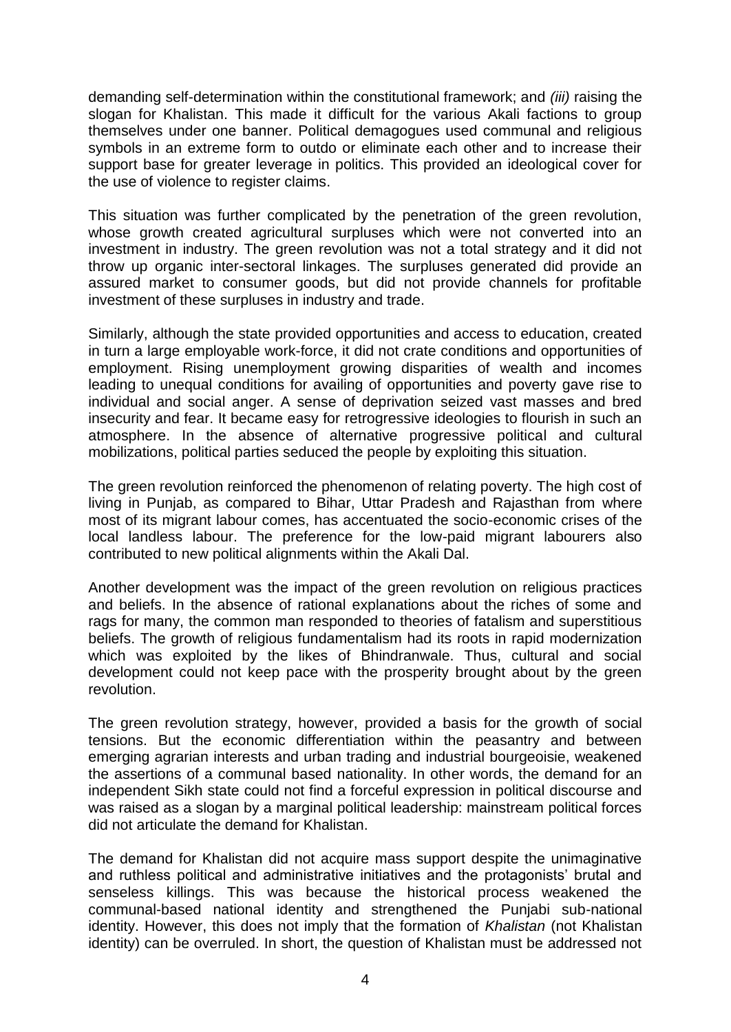demanding self-determination within the constitutional framework; and *(iii)* raising the slogan for Khalistan. This made it difficult for the various Akali factions to group themselves under one banner. Political demagogues used communal and religious symbols in an extreme form to outdo or eliminate each other and to increase their support base for greater leverage in politics. This provided an ideological cover for the use of violence to register claims.

This situation was further complicated by the penetration of the green revolution, whose growth created agricultural surpluses which were not converted into an investment in industry. The green revolution was not a total strategy and it did not throw up organic inter-sectoral linkages. The surpluses generated did provide an assured market to consumer goods, but did not provide channels for profitable investment of these surpluses in industry and trade.

Similarly, although the state provided opportunities and access to education, created in turn a large employable work-force, it did not crate conditions and opportunities of employment. Rising unemployment growing disparities of wealth and incomes leading to unequal conditions for availing of opportunities and poverty gave rise to individual and social anger. A sense of deprivation seized vast masses and bred insecurity and fear. It became easy for retrogressive ideologies to flourish in such an atmosphere. In the absence of alternative progressive political and cultural mobilizations, political parties seduced the people by exploiting this situation.

The green revolution reinforced the phenomenon of relating poverty. The high cost of living in Punjab, as compared to Bihar, Uttar Pradesh and Rajasthan from where most of its migrant labour comes, has accentuated the socio-economic crises of the local landless labour. The preference for the low-paid migrant labourers also contributed to new political alignments within the Akali Dal.

Another development was the impact of the green revolution on religious practices and beliefs. In the absence of rational explanations about the riches of some and rags for many, the common man responded to theories of fatalism and superstitious beliefs. The growth of religious fundamentalism had its roots in rapid modernization which was exploited by the likes of Bhindranwale. Thus, cultural and social development could not keep pace with the prosperity brought about by the green revolution.

The green revolution strategy, however, provided a basis for the growth of social tensions. But the economic differentiation within the peasantry and between emerging agrarian interests and urban trading and industrial bourgeoisie, weakened the assertions of a communal based nationality. In other words, the demand for an independent Sikh state could not find a forceful expression in political discourse and was raised as a slogan by a marginal political leadership: mainstream political forces did not articulate the demand for Khalistan.

The demand for Khalistan did not acquire mass support despite the unimaginative and ruthless political and administrative initiatives and the protagonists' brutal and senseless killings. This was because the historical process weakened the communal-based national identity and strengthened the Punjabi sub-national identity. However, this does not imply that the formation of *Khalistan* (not Khalistan identity) can be overruled. In short, the question of Khalistan must be addressed not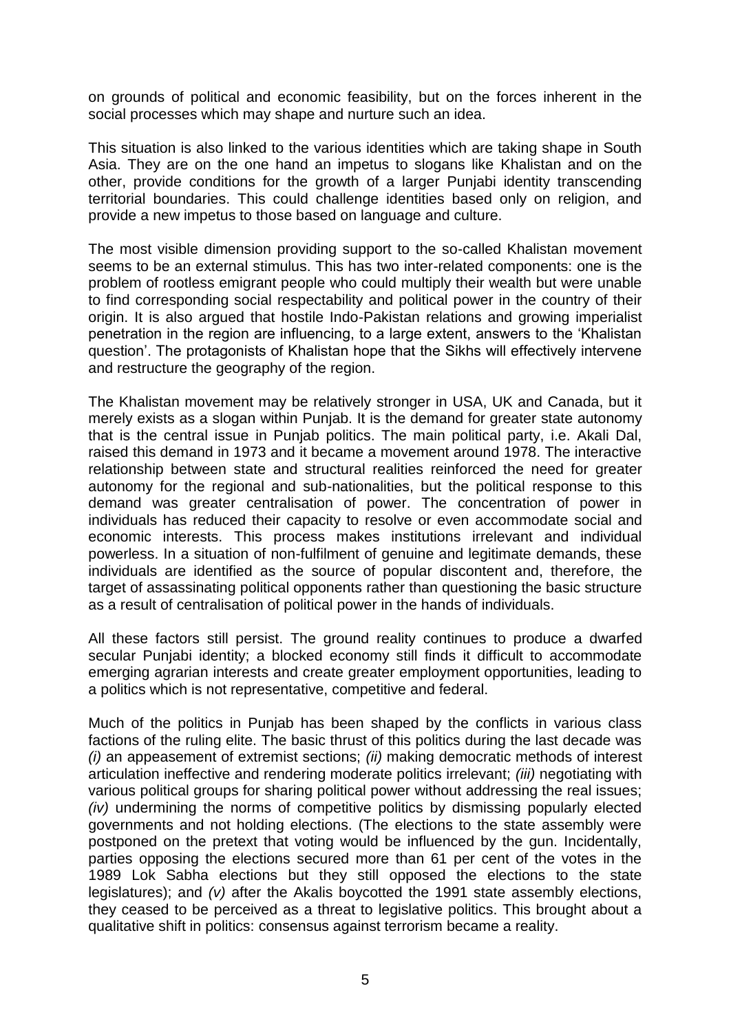on grounds of political and economic feasibility, but on the forces inherent in the social processes which may shape and nurture such an idea.

This situation is also linked to the various identities which are taking shape in South Asia. They are on the one hand an impetus to slogans like Khalistan and on the other, provide conditions for the growth of a larger Punjabi identity transcending territorial boundaries. This could challenge identities based only on religion, and provide a new impetus to those based on language and culture.

The most visible dimension providing support to the so-called Khalistan movement seems to be an external stimulus. This has two inter-related components: one is the problem of rootless emigrant people who could multiply their wealth but were unable to find corresponding social respectability and political power in the country of their origin. It is also argued that hostile Indo-Pakistan relations and growing imperialist penetration in the region are influencing, to a large extent, answers to the 'Khalistan question'. The protagonists of Khalistan hope that the Sikhs will effectively intervene and restructure the geography of the region.

The Khalistan movement may be relatively stronger in USA, UK and Canada, but it merely exists as a slogan within Punjab. It is the demand for greater state autonomy that is the central issue in Punjab politics. The main political party, i.e. Akali Dal, raised this demand in 1973 and it became a movement around 1978. The interactive relationship between state and structural realities reinforced the need for greater autonomy for the regional and sub-nationalities, but the political response to this demand was greater centralisation of power. The concentration of power in individuals has reduced their capacity to resolve or even accommodate social and economic interests. This process makes institutions irrelevant and individual powerless. In a situation of non-fulfilment of genuine and legitimate demands, these individuals are identified as the source of popular discontent and, therefore, the target of assassinating political opponents rather than questioning the basic structure as a result of centralisation of political power in the hands of individuals.

All these factors still persist. The ground reality continues to produce a dwarfed secular Punjabi identity; a blocked economy still finds it difficult to accommodate emerging agrarian interests and create greater employment opportunities, leading to a politics which is not representative, competitive and federal.

Much of the politics in Punjab has been shaped by the conflicts in various class factions of the ruling elite. The basic thrust of this politics during the last decade was *(i)* an appeasement of extremist sections; *(ii)* making democratic methods of interest articulation ineffective and rendering moderate politics irrelevant; *(iii)* negotiating with various political groups for sharing political power without addressing the real issues; *(iv)* undermining the norms of competitive politics by dismissing popularly elected governments and not holding elections. (The elections to the state assembly were postponed on the pretext that voting would be influenced by the gun. Incidentally, parties opposing the elections secured more than 61 per cent of the votes in the 1989 Lok Sabha elections but they still opposed the elections to the state legislatures); and *(v)* after the Akalis boycotted the 1991 state assembly elections, they ceased to be perceived as a threat to legislative politics. This brought about a qualitative shift in politics: consensus against terrorism became a reality.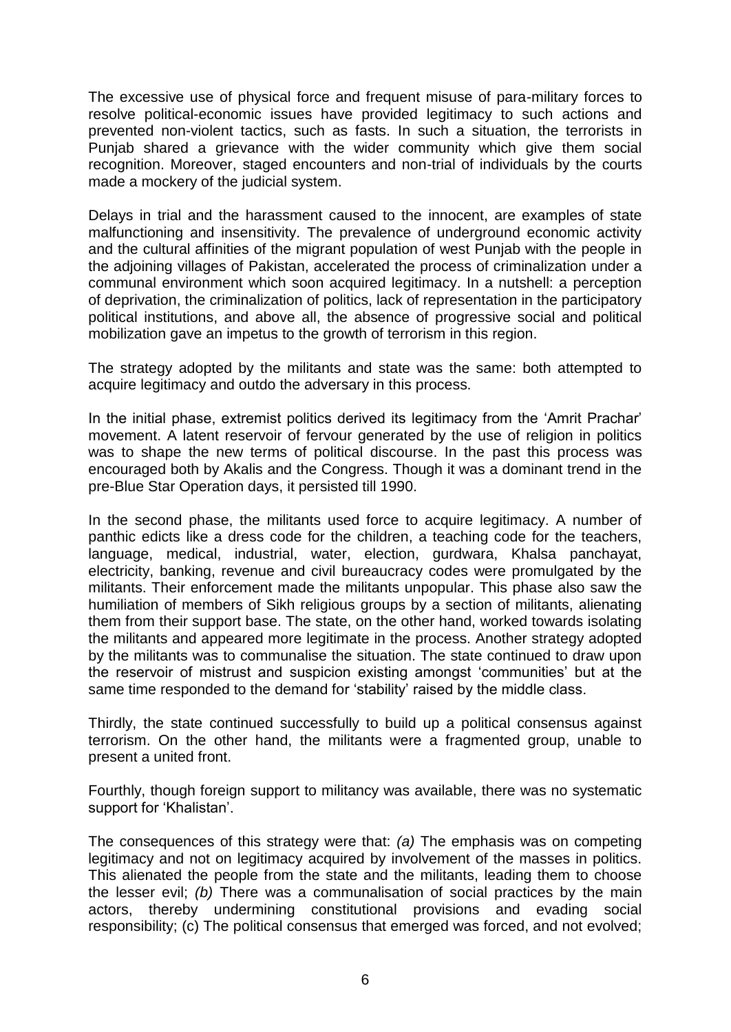The excessive use of physical force and frequent misuse of para-military forces to resolve political-economic issues have provided legitimacy to such actions and prevented non-violent tactics, such as fasts. In such a situation, the terrorists in Punjab shared a grievance with the wider community which give them social recognition. Moreover, staged encounters and non-trial of individuals by the courts made a mockery of the judicial system.

Delays in trial and the harassment caused to the innocent, are examples of state malfunctioning and insensitivity. The prevalence of underground economic activity and the cultural affinities of the migrant population of west Punjab with the people in the adjoining villages of Pakistan, accelerated the process of criminalization under a communal environment which soon acquired legitimacy. In a nutshell: a perception of deprivation, the criminalization of politics, lack of representation in the participatory political institutions, and above all, the absence of progressive social and political mobilization gave an impetus to the growth of terrorism in this region.

The strategy adopted by the militants and state was the same: both attempted to acquire legitimacy and outdo the adversary in this process.

In the initial phase, extremist politics derived its legitimacy from the 'Amrit Prachar' movement. A latent reservoir of fervour generated by the use of religion in politics was to shape the new terms of political discourse. In the past this process was encouraged both by Akalis and the Congress. Though it was a dominant trend in the pre-Blue Star Operation days, it persisted till 1990.

In the second phase, the militants used force to acquire legitimacy. A number of panthic edicts like a dress code for the children, a teaching code for the teachers, language, medical, industrial, water, election, gurdwara, Khalsa panchayat, electricity, banking, revenue and civil bureaucracy codes were promulgated by the militants. Their enforcement made the militants unpopular. This phase also saw the humiliation of members of Sikh religious groups by a section of militants, alienating them from their support base. The state, on the other hand, worked towards isolating the militants and appeared more legitimate in the process. Another strategy adopted by the militants was to communalise the situation. The state continued to draw upon the reservoir of mistrust and suspicion existing amongst 'communities' but at the same time responded to the demand for 'stability' raised by the middle class.

Thirdly, the state continued successfully to build up a political consensus against terrorism. On the other hand, the militants were a fragmented group, unable to present a united front.

Fourthly, though foreign support to militancy was available, there was no systematic support for 'Khalistan'.

The consequences of this strategy were that: *(a)* The emphasis was on competing legitimacy and not on legitimacy acquired by involvement of the masses in politics. This alienated the people from the state and the militants, leading them to choose the lesser evil; *(b)* There was a communalisation of social practices by the main actors, thereby undermining constitutional provisions and evading social responsibility; (c) The political consensus that emerged was forced, and not evolved;